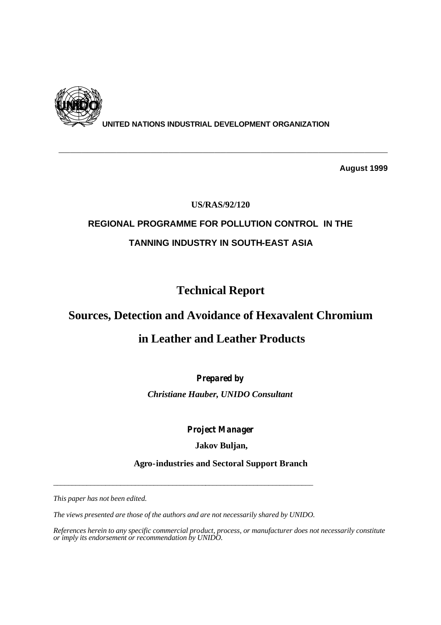

**UNITED NATIONS INDUSTRIAL DEVELOPMENT ORGANIZATION**

**\_\_\_\_\_\_\_\_\_\_\_\_\_\_\_\_\_\_\_\_\_\_\_\_\_\_\_\_\_\_\_\_\_\_\_\_\_\_\_\_\_\_\_\_\_\_\_\_\_\_\_\_\_\_\_\_\_**

**August 1999**

### **US/RAS/92/120**

# **REGIONAL PROGRAMME FOR POLLUTION CONTROL IN THE TANNING INDUSTRY IN SOUTH-EAST ASIA**

# **Technical Report**

# **Sources, Detection and Avoidance of Hexavalent Chromium**

# **in Leather and Leather Products**

## *Prepared by*

*Christiane Hauber, UNIDO Consultant*

*Project Manager*

### **Jakov Buljan,**

**Agro-industries and Sectoral Support Branch**

*This paper has not been edited.* 

*The views presented are those of the authors and are not necessarily shared by UNIDO.* 

*\_\_\_\_\_\_\_\_\_\_\_\_\_\_\_\_\_\_\_\_\_\_\_\_\_\_\_\_\_\_\_\_\_\_\_\_\_\_\_\_\_\_\_\_\_\_\_\_\_\_\_\_\_\_\_\_\_\_\_\_\_\_\_\_\_\_\_\_\_\_* 

*References herein to any specific commercial product, process, or manufacturer does not necessarily constitute or imply its endorsement or recommendation by UNIDO.*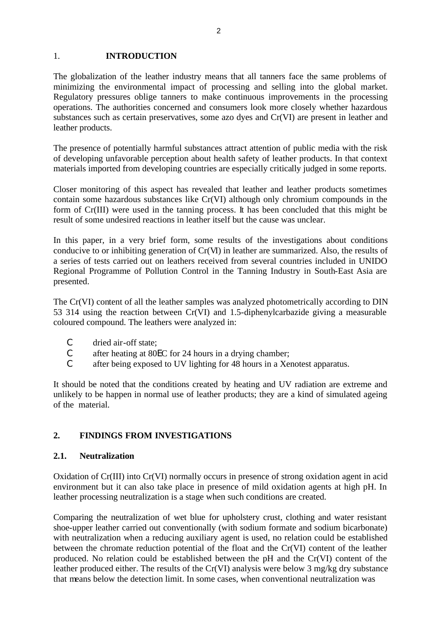### 1. **INTRODUCTION**

The globalization of the leather industry means that all tanners face the same problems of minimizing the environmental impact of processing and selling into the global market. Regulatory pressures oblige tanners to make continuous improvements in the processing operations. The authorities concerned and consumers look more closely whether hazardous substances such as certain preservatives, some azo dyes and Cr(VI) are present in leather and leather products.

The presence of potentially harmful substances attract attention of public media with the risk of developing unfavorable perception about health safety of leather products. In that context materials imported from developing countries are especially critically judged in some reports.

Closer monitoring of this aspect has revealed that leather and leather products sometimes contain some hazardous substances like Cr(VI) although only chromium compounds in the form of Cr(III) were used in the tanning process. It has been concluded that this might be result of some undesired reactions in leather itself but the cause was unclear.

In this paper, in a very brief form, some results of the investigations about conditions conducive to or inhibiting generation of Cr(VI) in leather are summarized. Also, the results of a series of tests carried out on leathers received from several countries included in UNIDO Regional Programme of Pollution Control in the Tanning Industry in South-East Asia are presented.

The Cr(VI) content of all the leather samples was analyzed photometrically according to DIN 53 314 using the reaction between Cr(VI) and 1.5-diphenylcarbazide giving a measurable coloured compound. The leathers were analyzed in:

- C dried air-off state;
- C after heating at 80EC for 24 hours in a drying chamber;
- C after being exposed to UV lighting for 48 hours in a Xenotest apparatus.

It should be noted that the conditions created by heating and UV radiation are extreme and unlikely to be happen in normal use of leather products; they are a kind of simulated ageing of the material.

### **2. FINDINGS FROM INVESTIGATIONS**

### **2.1. Neutralization**

Oxidation of Cr(III) into Cr(VI) normally occurs in presence of strong oxidation agent in acid environment but it can also take place in presence of mild oxidation agents at high pH. In leather processing neutralization is a stage when such conditions are created.

Comparing the neutralization of wet blue for upholstery crust, clothing and water resistant shoe-upper leather carried out conventionally (with sodium formate and sodium bicarbonate) with neutralization when a reducing auxiliary agent is used, no relation could be established between the chromate reduction potential of the float and the Cr(VI) content of the leather produced. No relation could be established between the pH and the Cr(VI) content of the leather produced either. The results of the Cr(VI) analysis were below 3 mg/kg dry substance that means below the detection limit. In some cases, when conventional neutralization was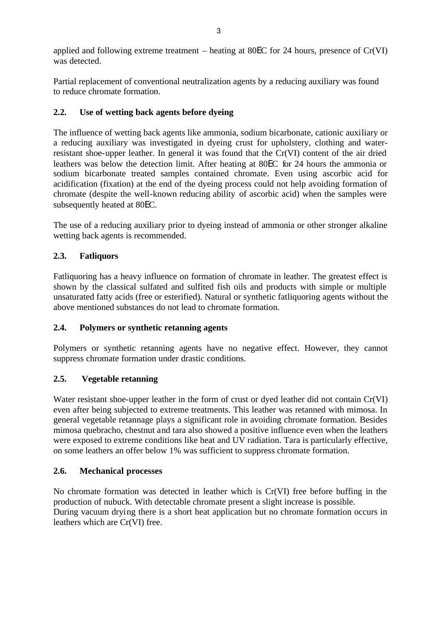applied and following extreme treatment – heating at 80EC for 24 hours, presence of Cr(VI) was detected.

Partial replacement of conventional neutralization agents by a reducing auxiliary was found to reduce chromate formation.

### **2.2. Use of wetting back agents before dyeing**

The influence of wetting back agents like ammonia, sodium bicarbonate, cationic auxiliary or a reducing auxiliary was investigated in dyeing crust for upholstery, clothing and waterresistant shoe-upper leather. In general it was found that the Cr(VI) content of the air dried leathers was below the detection limit. After heating at 80EC for 24 hours the ammonia or sodium bicarbonate treated samples contained chromate. Even using ascorbic acid for acidification (fixation) at the end of the dyeing process could not help avoiding formation of chromate (despite the well-known reducing ability of ascorbic acid) when the samples were subsequently heated at 80EC.

 The use of a reducing auxiliary prior to dyeing instead of ammonia or other stronger alkaline wetting back agents is recommended.

### **2.3. Fatliquors**

Fatliquoring has a heavy influence on formation of chromate in leather. The greatest effect is shown by the classical sulfated and sulfited fish oils and products with simple or multiple unsaturated fatty acids (free or esterified). Natural or synthetic fatliquoring agents without the above mentioned substances do not lead to chromate formation.

### **2.4. Polymers or synthetic retanning agents**

Polymers or synthetic retanning agents have no negative effect. However, they cannot suppress chromate formation under drastic conditions.

### **2.5. Vegetable retanning**

Water resistant shoe-upper leather in the form of crust or dyed leather did not contain Cr(VI) even after being subjected to extreme treatments. This leather was retanned with mimosa. In general vegetable retannage plays a significant role in avoiding chromate formation. Besides mimosa quebracho, chestnut and tara also showed a positive influence even when the leathers were exposed to extreme conditions like heat and UV radiation. Tara is particularly effective, on some leathers an offer below 1% was sufficient to suppress chromate formation.

### **2.6. Mechanical processes**

No chromate formation was detected in leather which is Cr(VI) free before buffing in the production of nubuck. With detectable chromate present a slight increase is possible. During vacuum drying there is a short heat application but no chromate formation occurs in leathers which are Cr(VI) free.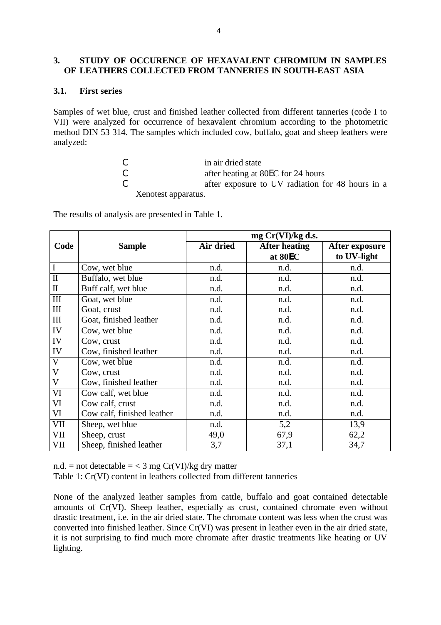### **3. STUDY OF OCCURENCE OF HEXAVALENT CHROMIUM IN SAMPLES OF LEATHERS COLLECTED FROM TANNERIES IN SOUTH-EAST ASIA**

### **3.1. First series**

Samples of wet blue, crust and finished leather collected from different tanneries (code I to VII) were analyzed for occurrence of hexavalent chromium according to the photometric method DIN 53 314. The samples which included cow, buffalo, goat and sheep leathers were analyzed:

| -C | in air dried state                               |  |
|----|--------------------------------------------------|--|
| -C | after heating at 80EC for 24 hours               |  |
| -C | after exposure to UV radiation for 48 hours in a |  |
|    | Xenotest apparatus.                              |  |

The results of analysis are presented in Table 1.

|                         |                            | mg Cr(VI)/kg d.s. |                      |                |  |  |
|-------------------------|----------------------------|-------------------|----------------------|----------------|--|--|
| Code                    | <b>Sample</b>              | Air dried         | <b>After heating</b> | After exposure |  |  |
|                         |                            |                   | at 80EC              | to UV-light    |  |  |
| $\mathbf I$             | Cow, wet blue              | n.d.              | n.d.                 | n.d.           |  |  |
| $\overline{\mathbf{u}}$ | Buffalo, wet blue          | n.d.              | n.d.                 | n.d.           |  |  |
| $\mathbf{I}$            | Buff calf, wet blue        | n.d.              | n.d.                 | n.d.           |  |  |
| $\rm III$               | Goat, wet blue             | n.d.              | n.d.                 | n.d.           |  |  |
| III                     | Goat, crust                | n.d.              | n.d.                 | n.d.           |  |  |
| $\mathop{\rm III}$      | Goat, finished leather     | n.d.              | n.d.                 | n.d.           |  |  |
| IV                      | Cow, wet blue              | n.d.              | n.d.                 | n.d.           |  |  |
| IV                      | Cow, crust                 | n.d.              | n.d.                 | n.d.           |  |  |
| IV                      | Cow, finished leather      | n.d.              | n.d.                 | n.d.           |  |  |
| V                       | Cow, wet blue              | n.d.              | n.d.                 | n.d.           |  |  |
| V                       | Cow, crust                 | n.d.              | n.d.                 | n.d.           |  |  |
| V                       | Cow, finished leather      | n.d.              | n.d.                 | n.d.           |  |  |
| VI                      | Cow calf, wet blue         | n.d.              | n.d.                 | n.d.           |  |  |
| VI                      | Cow calf, crust            | n.d.              | n.d.                 | n.d.           |  |  |
| VI                      | Cow calf, finished leather | n.d.              | n.d.                 | n.d.           |  |  |
| <b>VII</b>              | Sheep, wet blue            | n.d.              | 5,2                  | 13,9           |  |  |
| VII                     | Sheep, crust               | 49,0              | 67,9                 | 62,2           |  |  |
| VII                     | Sheep, finished leather    | 3,7               | 37,1                 | 34,7           |  |  |

n.d. = not detectable =  $<$  3 mg Cr(VI)/kg dry matter

Table 1: Cr(VI) content in leathers collected from different tanneries

None of the analyzed leather samples from cattle, buffalo and goat contained detectable amounts of Cr(VI). Sheep leather, especially as crust, contained chromate even without drastic treatment, i.e. in the air dried state. The chromate content was less when the crust was converted into finished leather. Since Cr(VI) was present in leather even in the air dried state, it is not surprising to find much more chromate after drastic treatments like heating or UV lighting.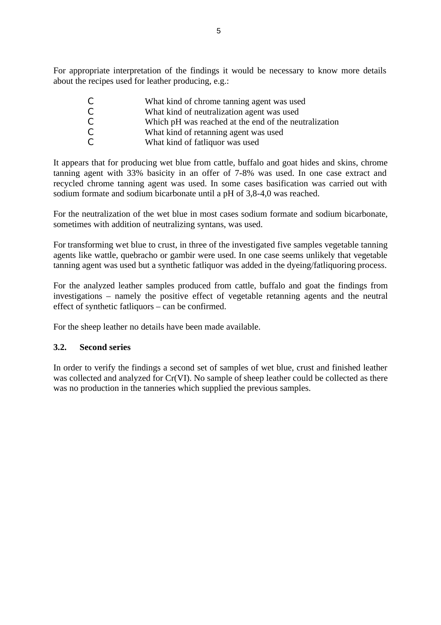For appropriate interpretation of the findings it would be necessary to know more details about the recipes used for leather producing, e.g.:

| C | What kind of chrome tanning agent was used            |
|---|-------------------------------------------------------|
| C | What kind of neutralization agent was used            |
| C | Which pH was reached at the end of the neutralization |
| C | What kind of retanning agent was used                 |
| C | What kind of fatliquor was used                       |

It appears that for producing wet blue from cattle, buffalo and goat hides and skins, chrome tanning agent with 33% basicity in an offer of 7-8% was used. In one case extract and recycled chrome tanning agent was used. In some cases basification was carried out with sodium formate and sodium bicarbonate until a pH of 3,8-4,0 was reached.

For the neutralization of the wet blue in most cases sodium formate and sodium bicarbonate, sometimes with addition of neutralizing syntans, was used.

For transforming wet blue to crust, in three of the investigated five samples vegetable tanning agents like wattle, quebracho or gambir were used. In one case seems unlikely that vegetable tanning agent was used but a synthetic fatliquor was added in the dyeing/fatliquoring process.

For the analyzed leather samples produced from cattle, buffalo and goat the findings from investigations – namely the positive effect of vegetable retanning agents and the neutral effect of synthetic fatliquors – can be confirmed.

For the sheep leather no details have been made available.

### **3.2. Second series**

In order to verify the findings a second set of samples of wet blue, crust and finished leather was collected and analyzed for Cr(VI). No sample of sheep leather could be collected as there was no production in the tanneries which supplied the previous samples.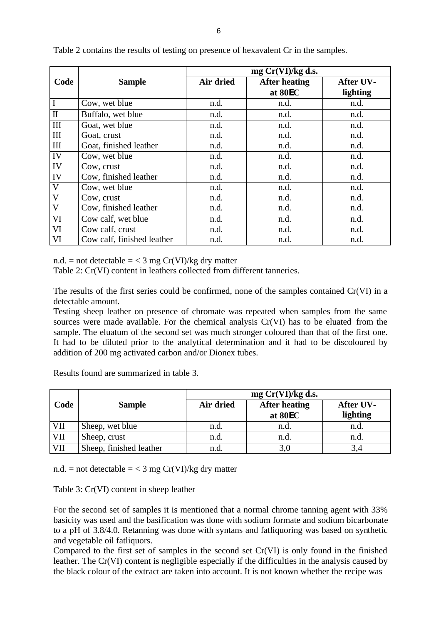|              |                            | mg Cr(VI)/kg d.s. |                      |           |  |
|--------------|----------------------------|-------------------|----------------------|-----------|--|
| Code         | <b>Sample</b>              | Air dried         | <b>After heating</b> | After UV- |  |
|              |                            |                   | at 80EC              | lighting  |  |
|              | Cow, wet blue              | n.d.              | n.d.                 | n.d.      |  |
| $\mathbf{I}$ | Buffalo, wet blue          | n.d.              | n.d.                 | n.d.      |  |
| III          | Goat, wet blue             | n.d.              | n.d.                 | n.d.      |  |
| III          | Goat, crust                | n.d.              | n.d.                 | n.d.      |  |
| III          | Goat, finished leather     | n.d.              | n.d.                 | n.d.      |  |
| IV           | Cow, wet blue              | n.d.              | n.d.                 | n.d.      |  |
| IV           | Cow, crust                 | n.d.              | n.d.                 | n.d.      |  |
| IV           | Cow, finished leather      | n.d.              | n.d.                 | n.d.      |  |
| $\mathbf V$  | Cow, wet blue              | n.d.              | n.d.                 | n.d.      |  |
| V            | Cow, crust                 | n.d.              | n.d.                 | n.d.      |  |
| $\mathbf{V}$ | Cow, finished leather      | n.d.              | n.d.                 | n.d.      |  |
| VI           | Cow calf, wet blue         | n.d.              | n.d.                 | n.d.      |  |
| VI           | Cow calf, crust            | n.d.              | n.d.                 | n.d.      |  |
| VI           | Cow calf, finished leather | n.d.              | n.d.                 | n.d.      |  |

Table 2 contains the results of testing on presence of hexavalent Cr in the samples.

n.d. = not detectable =  $<$  3 mg Cr(VI)/kg dry matter

Table 2: Cr(VI) content in leathers collected from different tanneries.

The results of the first series could be confirmed, none of the samples contained Cr(VI) in a detectable amount.

Testing sheep leather on presence of chromate was repeated when samples from the same sources were made available. For the chemical analysis Cr(VI) has to be eluated from the sample. The eluatum of the second set was much stronger coloured than that of the first one. It had to be diluted prior to the analytical determination and it had to be discoloured by addition of 200 mg activated carbon and/or Dionex tubes.

|            |                         |           | $mg Cr(VI)/kg ds$ .  |           |  |  |
|------------|-------------------------|-----------|----------------------|-----------|--|--|
| Code       | <b>Sample</b>           | Air dried | <b>After heating</b> | After UV- |  |  |
|            |                         |           | at 80EC              | lighting  |  |  |
| VII        | Sheep, wet blue         | n.d.      | n.d.                 | n.d.      |  |  |
| <b>VII</b> | Sheep, crust            | n.d.      | n.d.                 | n.d.      |  |  |
| <b>VII</b> | Sheep, finished leather | n.d.      | 3,0                  |           |  |  |

Results found are summarized in table 3.

n.d. = not detectable =  $<$  3 mg Cr(VI)/kg dry matter

Table 3: Cr(VI) content in sheep leather

For the second set of samples it is mentioned that a normal chrome tanning agent with 33% basicity was used and the basification was done with sodium formate and sodium bicarbonate to a pH of 3.8/4.0. Retanning was done with syntans and fatliquoring was based on synthetic and vegetable oil fatliquors.

Compared to the first set of samples in the second set Cr(VI) is only found in the finished leather. The Cr(VI) content is negligible especially if the difficulties in the analysis caused by the black colour of the extract are taken into account. It is not known whether the recipe was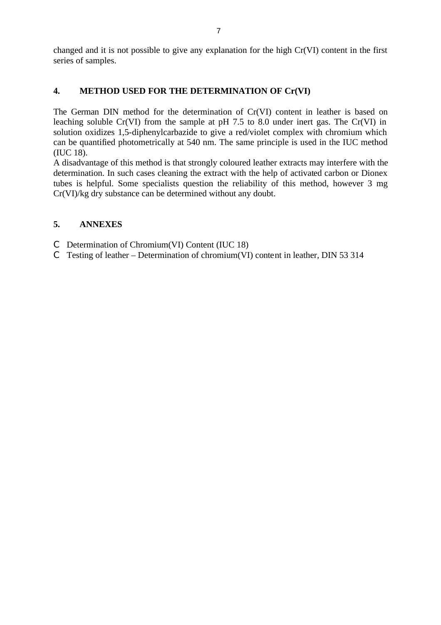changed and it is not possible to give any explanation for the high Cr(VI) content in the first series of samples.

### **4. METHOD USED FOR THE DETERMINATION OF Cr(VI)**

The German DIN method for the determination of Cr(VI) content in leather is based on leaching soluble Cr(VI) from the sample at pH 7.5 to 8.0 under inert gas. The Cr(VI) in solution oxidizes 1,5-diphenylcarbazide to give a red/violet complex with chromium which can be quantified photometrically at 540 nm. The same principle is used in the IUC method (IUC 18).

A disadvantage of this method is that strongly coloured leather extracts may interfere with the determination. In such cases cleaning the extract with the help of activated carbon or Dionex tubes is helpful. Some specialists question the reliability of this method, however 3 mg Cr(VI)/kg dry substance can be determined without any doubt.

### **5. ANNEXES**

- C Determination of Chromium(VI) Content (IUC 18)
- C Testing of leather Determination of chromium(VI) content in leather, DIN 53 314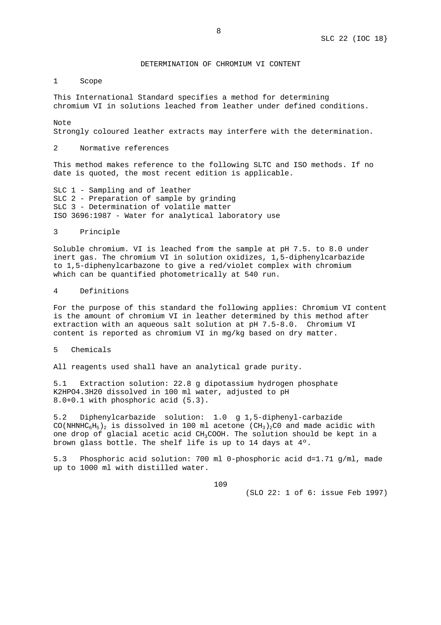#### DETERMINATION OF CHROMIUM VI CONTENT

1 Scope

This International Standard specifies a method for determining chromium VI in solutions leached from leather under defined conditions.

Note

Strongly coloured leather extracts may interfere with the determination.

2 Normative references

This method makes reference to the following SLTC and ISO methods. If no date is quoted, the most recent edition is applicable.

SLC 1 - Sampling and of leather SLC 2 - Preparation of sample by grinding SLC 3 - Determination of volatile matter ISO 3696:1987 - Water for analytical laboratory use

3 Principle

Soluble chromium. VI is leached from the sample at pH 7.5. to 8.0 under inert gas. The chromium VI in solution oxidizes, 1,5-diphenylcarbazide to 1,5-diphenylcarbazone to give a red/violet complex with chromium which can be quantified photometrically at 540 run.

#### 4 Definitions

For the purpose of this standard the following applies: Chromium VI content is the amount of chromium VI in leather determined by this method after extraction with an aqueous salt solution at pH 7.5-8.0. Chromium VI content is reported as chromium VI in mg/kg based on dry matter.

#### 5 Chemicals

All reagents used shall have an analytical grade purity.

5.1 Extraction solution: 22.8 g dipotassium hydrogen phosphate K2HPO4.3H20 dissolved in 100 ml water, adjusted to pH 8.0+0.1 with phosphoric acid (5.3).

5.2 Diphenylcarbazide solution: 1.0 g 1,5-diphenyl-carbazide CO(NHNHC<sub>6</sub>H<sub>5</sub>)<sub>2</sub> is dissolved in 100 ml acetone (CH<sub>3</sub>)<sub>2</sub>C0 and made acidic with one drop of glacial acetic acid CH3COOH. The solution should be kept in a brown glass bottle. The shelf life is up to 14 days at 4º.

5.3 Phosphoric acid solution: 700 ml 0-phosphoric acid d=1.71 g/ml, made up to 1000 ml with distilled water.

109

(SLO 22: 1 of 6: issue Feb 1997)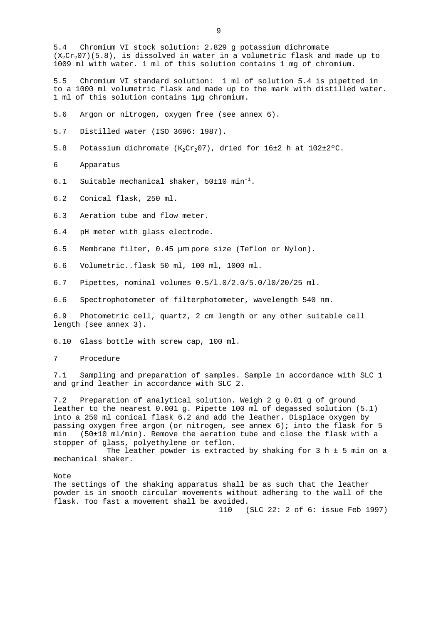5.4 Chromium VI stock solution: 2.829 g potassium dichromate  $(X_2Cr_207)(5.8)$ , is dissolved in water in a volumetric flask and made up to 1009 ml with water. 1 ml of this solution contains 1 mg of chromium.

5.5 Chromium VI standard solution: 1 ml of solution 5.4 is pipetted in to a 1000 ml volumetric flask and made up to the mark with distilled water. 1 ml of this solution contains 1µg chromium.

- 5.6 Argon or nitrogen, oxygen free (see annex 6).
- 5.7 Distilled water (ISO 3696: 1987).
- 5.8 Potassium dichromate  $(K_2Cr_2O7)$ , dried for 16±2 h at 102±2°C.
- 6 Apparatus
- 6.1 Suitable mechanical shaker,  $50\pm10$  min<sup>-1</sup>.
- 6.2 Conical flask, 250 ml.
- 6.3 Aeration tube and flow meter.
- 6.4 pH meter with glass electrode.
- 6.5 Membrane filter, 0.45 µm pore size (Teflon or Nylon).
- 6.6 Volumetric..flask 50 ml, 100 ml, 1000 ml.
- 6.7 Pipettes, nominal volumes 0.5/l.0/2.0/5.0/l0/20/25 ml.
- 6.6 Spectrophotometer of filterphotometer, wavelength 540 nm.

6.9 Photometric cell, quartz, 2 cm length or any other suitable cell length (see annex 3).

6.10 Glass bottle with screw cap, 100 ml.

7 Procedure

7.1 Sampling and preparation of samples. Sample in accordance with SLC 1 and grind leather in accordance with SLC 2.

7.2 Preparation of analytical solution. Weigh 2 g 0.01 g of ground leather to the nearest 0.001 g. Pipette 100 ml of degassed solution (5.1) into a 250 ml conical flask 6.2 and add the leather. Displace oxygen by passing oxygen free argon (or nitrogen, see annex 6); into the flask for 5 min (50±10 ml/min). Remove the aeration tube and close the flask with a stopper of glass, polyethylene or teflon.

The leather powder is extracted by shaking for 3 h  $\pm$  5 min on a mechanical shaker.

Note

The settings of the shaking apparatus shall be as such that the leather powder is in smooth circular movements without adhering to the wall of the flask. Too fast a movement shall be avoided.

110 (SLC 22: 2 of 6: issue Feb 1997)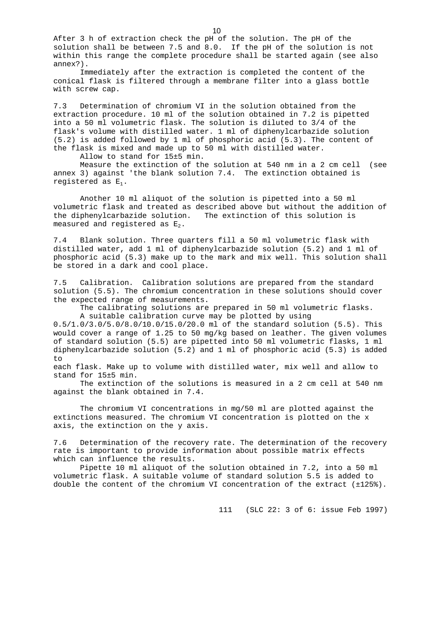After 3 h of extraction check the pH of the solution. The pH of the solution shall be between 7.5 and 8.0. If the pH of the solution is not within this range the complete procedure shall be started again (see also annex?).

Immediately after the extraction is completed the content of the conical flask is filtered through a membrane filter into a glass bottle with screw cap.

7.3 Determination of chromium VI in the solution obtained from the extraction procedure. 10 ml of the solution obtained in 7.2 is pipetted into a 50 ml volumetric flask. The solution is diluted to 3/4 of the flask's volume with distilled water. 1 ml of diphenylcarbazide solution (5.2) is added followed by 1 ml of phosphoric acid (5.3). The content of the flask is mixed and made up to 50 ml with distilled water.

Allow to stand for 15±5 min.

Measure the extinction of the solution at 540 nm in a 2 cm cell (see annex 3) against 'the blank solution 7.4. The extinction obtained is registered as E1.

Another 10 ml aliquot of the solution is pipetted into a 50 ml volumetric flask and treated as described above but without the addition of the diphenylcarbazide solution. The extinction of this solution is measured and registered as  $E_2$ .

7.4 Blank solution. Three quarters fill a 50 ml volumetric flask with distilled water, add 1 ml of diphenylcarbazide solution (5.2) and 1 ml of phosphoric acid (5.3) make up to the mark and mix well. This solution shall be stored in a dark and cool place.

7.5 Calibration. Calibration solutions are prepared from the standard solution (5.5). The chromium concentration in these solutions should cover the expected range of measurements.

The calibrating solutions are prepared in 50 ml volumetric flasks. A suitable calibration curve may be plotted by using

0.5/1.0/3.0/5.0/8.0/10.0/15.0/20.0 ml of the standard solution (5.5). This would cover a range of 1.25 to 50 mg/kg based on leather. The given volumes of standard solution (5.5) are pipetted into 50 ml volumetric flasks, 1 ml diphenylcarbazide solution (5.2) and 1 ml of phosphoric acid (5.3) is added to

each flask. Make up to volume with distilled water, mix well and allow to stand for 15±5 min.

The extinction of the solutions is measured in a 2 cm cell at 540 nm against the blank obtained in 7.4.

The chromium VI concentrations in mg/50 ml are plotted against the extinctions measured. The chromium VI concentration is plotted on the x axis, the extinction on the y axis.

7.6 Determination of the recovery rate. The determination of the recovery rate is important to provide information about possible matrix effects which can influence the results.

Pipette 10 ml aliquot of the solution obtained in 7.2, into a 50 ml volumetric flask. A suitable volume of standard solution 5.5 is added to double the content of the chromium VI concentration of the extract (±125%).

111 (SLC 22: 3 of 6: issue Feb 1997)

10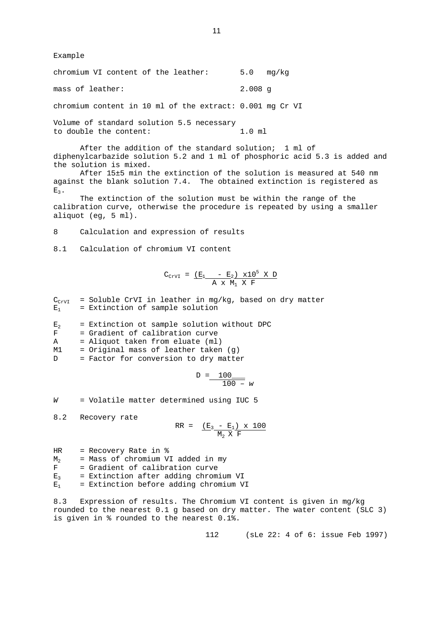Example

chromium VI content of the leather: 5.0 mg/kg mass of leather: 2.008 g

chromium content in 10 ml of the extract: 0.001 mg Cr VI

Volume of standard solution 5.5 necessary to double the content: 1.0 ml

After the addition of the standard solution; 1 ml of diphenylcarbazide solution 5.2 and 1 ml of phosphoric acid 5.3 is added and the solution is mixed.

After 15±5 min the extinction of the solution is measured at 540 nm against the blank solution 7.4. The obtained extinction is registered as  $E_3$ .

The extinction of the solution must be within the range of the calibration curve, otherwise the procedure is repeated by using a smaller aliquot (eg, 5 ml).

8 Calculation and expression of results

8.1 Calculation of chromium VI content

$$
C_{CrvI} = \frac{(E_1 - E_2) \times 10^5 \times D}{A \times M_1 \times F}
$$

 $C_{\text{CrvI}}$  = Soluble CrVI in leather in mg/kg, based on dry matter  $E_1$  = Extinction of sample solution

 $E_2$  = Extinction ot sample solution without DPC

F = Gradient of calibration curve

- A = Aliquot taken from eluate (ml)
- M1 = Original mass of leather taken (g)

D = Factor for conversion to dry matter

$$
D = \frac{100}{100 - w}
$$

*W* = Volatile matter determined using IUC 5

8.2 Recovery rate

$$
RR = \frac{(E_3 - E_1) \times 100}{M_2 \times F}
$$

- HR = Recovery Rate in %
- $M_2$  = Mass of chromium VI added in my<br> $F =$  Gradient of calibration curve
- = Gradient of calibration curve
- $E_3$  = Extinction after adding chromium VI
- $E_1$  = Extinction before adding chromium VI

8.3 Expression of results. The Chromium VI content is given in mg/kg rounded to the nearest 0.1 g based on dry matter. The water content (SLC 3) is given in % rounded to the nearest 0.1%.

112 (sLe 22: 4 of 6: issue Feb 1997)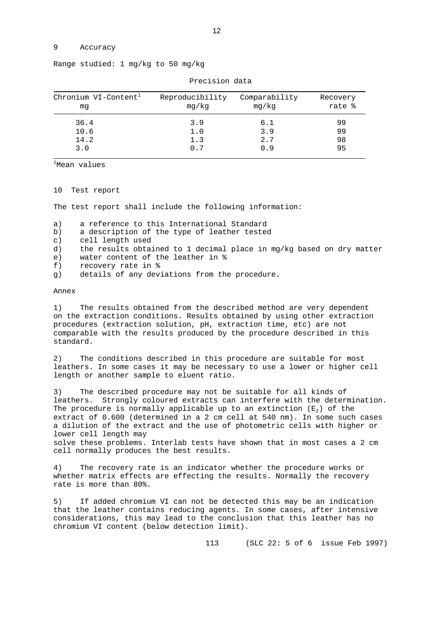#### 9 Accuracy

| Range studied: 1 mg/kg to 50 mg/kg |  |  |  |
|------------------------------------|--|--|--|
|                                    |  |  |  |

| Chronium VI-Content <sup>1</sup><br>mq | Reproducibility<br>mg/kg | Comparability<br>mg/kg | Recovery<br>rate % |
|----------------------------------------|--------------------------|------------------------|--------------------|
| 36.4                                   | 3.9                      | 6.1                    | 99                 |
| 10.6                                   | 1.0                      | 3.9                    | 99                 |
| 14.2                                   | 1.3                      | 2.7                    | 98                 |
| 3.0                                    | 0.7                      | O.9                    | 95                 |

Precision data

 $1$ Mean values

10 Test report

The test report shall include the following information:

- a) a reference to this International Standard
- b) a description of the type of leather tested
- c) cell length used
- d) the results obtained to 1 decimal place in mg/kg based on dry matter
- e) water content of the leather in %
- f) recovery rate in %
- g) details of any deviations from the procedure.

#### Annex

1) The results obtained from the described method are very dependent on the extraction conditions. Results obtained by using other extraction procedures (extraction solution, pH, extraction time, etc) are not comparable with the results produced by the procedure described in this standard.

2) The conditions described in this procedure are suitable for most leathers. In some cases it may be necessary to use a lower or higher cell length or another sample to eluent ratio.

3) The described procedure may not be suitable for all kinds of leathers. Strongly coloured extracts can interfere with the determination. The procedure is normally applicable up to an extinction  $(E_2)$  of the extract of 0.600 (determined in a 2 cm cell at 540 nm). In some such cases a dilution of the extract and the use of photometric cells with higher or lower cell length may solve these problems. Interlab tests have shown that in most cases a 2 cm cell normally produces the best results.

4) The recovery rate is an indicator whether the procedure works or whether matrix effects are effecting the results. Normally the recovery rate is more than 80%.

5) If added chromium VI can not be detected this may be an indication that the leather contains reducing agents. In some cases, after intensive considerations, this may lead to the conclusion that this leather has no chromium VI content (below detection limit).

113 (SLC 22: 5 of 6 issue Feb 1997)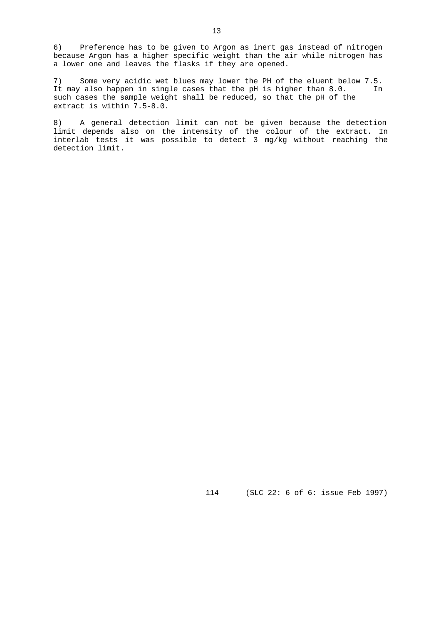6) Preference has to be given to Argon as inert gas instead of nitrogen because Argon has a higher specific weight than the air while nitrogen has a lower one and leaves the flasks if they are opened.

7) Some very acidic wet blues may lower the PH of the eluent below 7.5. It may also happen in single cases that the pH is higher than 8.0. In such cases the sample weight shall be reduced, so that the pH of the extract is within 7.5-8.0.

8) A general detection limit can not be given because the detection limit depends also on the intensity of the colour of the extract. In interlab tests it was possible to detect 3 mg/kg without reaching the detection limit.

114 (SLC 22: 6 of 6: issue Feb 1997)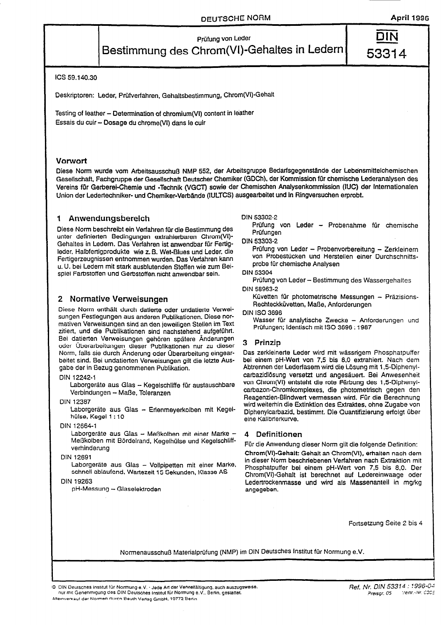53314

# Prüfung von Leder Bestimmung des Chrom(VI)-Gehaltes in Ledern

ICS 59,140.30

Deskriptoren: Leder, Prüfverfahren, Gehaltsbestimmung, Chrom(VI)-Gehalt

Testing of leather - Determination of chromium(VI) content in leather Essais du cuir - Dosage du chrome (VI) dans le cuir

#### Vorwort

Diese Norm wurde vom Arbeitsausschuß NMP 552, der Arbeitsgruppe Bedarfsgegenstände der Lebensmittelchemischen Gesellschaft, Fachgruppe der Gesellschaft Deutscher Chemiker (GDCh), der Kommission für chemische Lederanalysen des Vereins für Gerberei-Chemie und -Technik (VGCT) sowie der Chemischen Analysenkommission (IUC) der Internationalen Union der Ledertechniker- und Chemiker-Verbände (IULTCS) ausgearbeitet und in Ringversuchen erprobt.

#### Anwendungsbereich 1

Diese Norm beschreibt ein Verfahren für die Bestimmung des unter definierten Bedingungen extrahierbaren Chrom(VI)-Gehaltes in Ledern. Das Verfahren ist anwendbar für Fertigleder, Halbfertigprodukte wie z. B. Wet-Blues und Leder, die Fertigerzeugnissen entnommen wurden. Das Verfahren kann u. U. bei Ledern mit stark ausblutenden Stoffen wie zum Beispiel Farbstoffen und Gerbstoffen nicht anwendbar sein.

### 2 Normative Verweisungen

Diese Norm enthält durch datierte oder undatierte Verweisungen Festlegungen aus anderen Publikationen. Diese normativen Verweisungen sind an den jeweiligen Stellen im Text zitiert, und die Publikationen sind nachstehend aufgeführt. Bei datierten Verweisungen gehören spätere Änderungen oder Überarbeitungen dieser Publikationen nur zu dieser Norm, falls sie durch Anderung oder Überarbeitung eingearbeitet sind. Bei undatierten Verweisungen gilt die letzte Ausgabe der in Bezug genommenen Publikation.

#### DIN 12242-1

Laborgeräte aus Glas - Kegelschliffe für austauschbare Verbindungen - Maße, Toleranzen

**DIN 12387** 

Laborgeräte aus Glas - Erlenmeyerkolben mit Kegelhülse, Kegel 1:10

#### DIN 12664-1

Laborgeräte aus Glas - Meßkolben mit einer Marke · Meßkolben mit Bördelrand, Kegelhülse und Kegelschliffverhinderung

#### DIN 12691

Laborgeräte aus Glas - Vollpipetten mit einer Marke, schnell ablaufend, Wartezeit 15 Sekunden, Klasse AS

#### DIN 19263

pH-Messung - Glaselektroden

#### DIN 53302-2

Prüfung von Leder - Probenahme für chemische Prüfungen

**DIN 53303-2** 

Prüfung von Leder - Probenvorbereitung - Zerkleinern von Probestücken und Herstellen einer Durchschnittsprobe für chemische Analysen

#### **DIN 53304**

Prüfung von Leder - Bestimmung des Wassergehaltes DIN 58963-2

Küvetten für photometrische Messungen - Präzisions-Rechteckküvetten, Maße, Anforderungen

**DIN ISO 3696** 

Wasser für analytische Zwecke - Anforderungen und Prüfungen; Identisch mit ISO 3696 : 1987

#### 3 Prinzip

Das zerkleinerte Leder wird mit wässrigem Phosphatpuffer bei einem pH-Wert von 7,5 bis 8,0 extrahiert. Nach dem Abtrennen der Lederfasern wird die Lösung mit 1,5-Diphenylcarbazidiösung versetzt und angesäuert. Bei Anwesenheit von Chrom(VI) entsteht die rote Färbung des 1,5-Diphenyicarbazon-Chromkomplexes, die photometrisch gegen den Reagenzien-Blindwert vermessen wird. Für die Berechnung wird weiterhin die Extinktion des Extraktes, ohne Zugabe von Diphenylcarbazid, bestimmt. Die Quantifizierung erfolgt über eine Kalibrierkurve.

#### 4 Definitionen

Für die Anwendung dieser Norm gilt die folgende Definition: Chrom(VI)-Gehalt: Gehalt an Chrom(VI), erhalten nach dem in dieser Norm beschriebenen Verfahren nach Extraktion mit Phosphatpuffer bei einem pH-Wert von 7,5 bis 8,0. Der Chrom(VI)-Gehalt ist berechnet auf Ledereinwaage oder Ledertrockenmasse und wird als Massenanteil in mg/kg angegeben.

Fortsetzung Seite 2 bis 4

Normenausschuß Materialprüfung (NMP) im DIN Deutsches Institut für Normung e.V.

@ DIN Deutsches Institut für Normung e.V. · Jede Art der Vervielfältigung, auch auszugsweise. nur mit Genehmigung des DIN Deutsches Institut für Normung e.V., Berlin, gestattet. Alleinverkauf der Normen durch Beuth Verlag GmbH, 10772 Berlin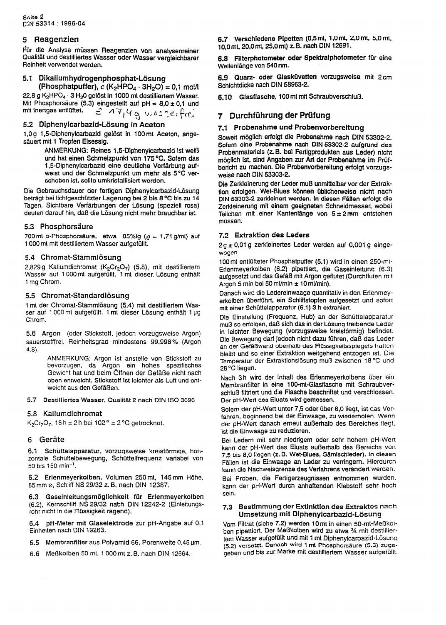#### 5 Reagenzien

Für die Analyse müssen Reagenzien von analysenreiner Qualität und destilliertes Wasser oder Wasser vergleichbarer Reinheit verwendet werden.

#### 5.1 Dikallumhydrogenphosphat-Lösung

(Phosphatpuffer),  $c$  (K<sub>2</sub>HPO<sub>4</sub> · 3H<sub>2</sub>O) = 0.1 mol/l 22,8 g K<sub>2</sub>HPO<sub>4</sub> · 3 H<sub>2</sub>0 gelöst in 1000 ml destilliertem Wasser. Mit Phosphorsäure (5.3) eingestellt auf pH =  $8.0 \pm 0.1$  und  $\leq$  17,4 g wasserfree mit Inertgas entlüftet.

#### 5.2 Diphenylcarbazid-Lösung in Aceton

1.0 g 1,5-Diphenylcarbazid gelöst in 100 ml Aceton, angesäuert mit 1 Tropfen Eisessig.

> ANMERKUNG: Reines 1,5-Diphenylcarbazid ist weiß und hat einen Schmelzpunkt von 175 °C. Sofern das 1.5-Diphenylcarbazid eine deutliche Verfärbung aufweist und der Schmelzpunkt um mehr als 5°C verschoben ist, sollte umkristallisiert werden.

Die Gebrauchsdauer der fertigen Diphenylcarbazid-Lösung beträgt bei lichtgeschützter Lagerung bei 2 bis 8 °C bis zu 14 Tagen. Sichtbare Verfärbungen der Lösung (speziell rosa) deuten darauf hin, daß die Lösung nicht mehr brauchbar ist.

#### 5.3 Phosphorsäure

700 ml o-Phosphorsäure, etwa 85%ig ( $\rho = 1.71$  g/ml) auf 1000 mt mit destilliertem Wasser aufgefüllt.

#### 5.4 Chromat-Stammlösung

2,829 g Kaliumdichromat (K<sub>2</sub>Cr<sub>2</sub>O<sub>7</sub>) (5.8), mit destilliertem Wasser auf 1000 mt aufgefüllt. 1 mt dieser Lösung enthält 1 mg Chrom.

#### 5.5 Chromat-Standardlösung

1 mi der Chromat-Stammlösung (5.4) mit destilliertem Wasser auf 1000 ml aufgefüllt. 1 ml dieser Lösung enthält 1 µg Chrom.

5.6 Argon (oder Stickstoff, jedoch vorzugsweise Argon) sauerstofffrei, Reinheitsgrad mindestens 99,998% (Argon  $4.8$ ).

> ANMERKUNG: Argon ist anstelle von Stickstoff zu bevorzugen, da Argon ein hohes spezifisches Gewicht hat und beim Öffnen der Gefäße nicht nach oben entweicht. Stickstoff ist leichter als Luft und entweicht aus den Gefäßen.

5.7 Destilliertes Wasser, Qualität 2 nach DIN ISO 3696

#### 5.8 Kaliumdichromat

 $K_2Cr_2O_7$ , 16 h ± 2 h bei 102 ° ± 2 °C getrocknet.

#### 6 Geräte

 $6.1$ Schüttelapparatur, vorzugsweise kreisförmige, horizontale Schüttelbewegung, Schüttelfrequenz variabel von 50 bis 150 min<sup>-1</sup>.

6.2 Erlenmeyerkolben, Volumen 250 ml, 145 mm Höhe, 85 mm ø, Schliff NS 29/32 z.B. nach DIN 12387.

6.3 Gaseinleitungsmöglichkeit für Erlenmeyerkolben (6.2), Kernschliff NS 29/32 nach DIN 12242-2 (Einleitungsrohr nicht in die Flüssigkeit ragend).

6.4 pH-Meter mit Glaselektrode zur pH-Angabe auf 0,1 Einheiten nach DIN 19263.

6.5 Membranfilter aus Polyamid 66. Porenweite 0.45 um.

6.6 Meßkolben 50 ml, 1 000 ml z. B. nach DIN 12664.

6.7 Verschiedene Pipetten (0,5 ml, 1,0 ml, 2,0 ml, 5,0 ml, 10.0 ml, 20.0 ml, 25,0 ml) z.B. nach DIN 12691.

6.8 Filterphotometer oder Spektralphotometer für eine Wellenlänge von 540 nm.

6.9 Quarz- oder Glasküvetten vorzugsweise mit 2 cm Schichtdicke nach DIN 58963-2.

6.10 Glasflasche, 100 ml mit Schraubverschluß.

### 7 Durchführung der Prüfung

#### 7.1 Probenahme und Probenvorbereitung

Soweit möglich erfolgt die Probenahme nach DIN 53302-2. Sofern eine Probenahme nach DIN 53302-2 aufgrund des Probenmaterials (z. B. bei Fertigprodukten aus Leder) nicht möglich ist, sind Angaben zur Art der Probenahme im Prüfbericht zu machen. Die Probenvorbereitung erfolgt vorzugsweise nach DIN 53303-2.

Die Zerkleinerung der Leder muß unmittelbar vor der Extraktion erfolgen. Wet-Blues können üblicherweise nicht nach DIN 53303-2 zerkleinert werden. In diesen Fällen erfolgt die Zerkleinerung mit einem geeigneten Schneidmesser, wobei Teilchen mit einer Kantenlänge von 5±2mm entstehen müssen.

#### 7.2 Extraktion des Leders

2g ± 0,01 g zerkleinertes Leder werden auf 0,001 g eingewogen.

100 mt entlüfteter Phosphatpuffer (5.1) wird in einen 250-mt-Erlenmeyerkolben (6.2) pipettiert, die Gaseinleitung (6.3) aufgesetzt und das Gefäß mit Argon geflutet (Durchfluten mit Argon 5 min bei 50 ml/min ± 10 ml/min).

Danach wird die Ledereinwaage quantitativ in den Erlenmeyerkolben überführt, ein Schliffstopfen aufgesetzt und sofort mit einer Schüttelapparatur (6.1) 3 h extrahiert.

Die Einstellung (Frequenz, Hub) an der Schüttelapparatur muß so erfolgen, daß sich das in der Lösung treibende Leder in leichter Bewegung (vorzugsweise kreisförmig) befindet. Die Bewegung darf jedoch nicht dazu führen, daß das Leder an der Gefäßwand oberhalb des Flüssigkeitsspiegels haften bleibt und so einer Extraktion weitgehend entzogen ist. Die Temperatur der Extraktionslösung muß zwischen 18°C und 28°C liegen.

Nach 3h wird der Inhalt des Erlenmeyerkolbens über ein Membranfilter in eine 100-mt-Glasflasche mit Schraubverschluß filtriert und die Flasche beschriftet und verschlossen. Der pH-Wert des Eluats wird gemessen.

Sofern der pH-Wert unter 7,5 oder über 8,0 liegt, ist das Verfahren, beginnend bei der Einwaage, zu wiederholen. Wenn der pH-Wert danach emeut außerhalb des Bereiches liegt, ist die Einwaage zu reduzieren.

Bei Ledern mit sehr niedrigem oder sehr hohem pH-Wert kann der pH-Wert des Eluats außerhalb des Bereichs von 7,5 bis 8,0 liegen (z. B. Wet-Blues, Sämischieder). In diesen Fällen ist die Einwaage an Leder zu verringern. Hierdurch kann die Nachweisgrenze des Verfahrens verändert werden.

Bei Proben, die Fertigerzeugnissen entnommen wurden. kann der pH-Wert durch anhaftenden Klebstoff sehr hoch sein.

#### 7.3 Bestimmung der Extinktion des Extraktes nach Umsetzung mit Diphenylcarbazid-Lösung

Vom Filtrat (siehe 7.2) werden 10 ml in einen 50-ml-Meßkoiben pipettiert. Der Meßkolben wird zu etwa 3/4 mit destilliertem Wasser aufgefüllt und mit 1 mt Diphenvicarbazid-Lösung (5.2) versetzt. Danach wird 1 ml Phosphorsäure (5.3) zugegeben und bis zur Marke mit destilliertem Wasser aufgefüllt.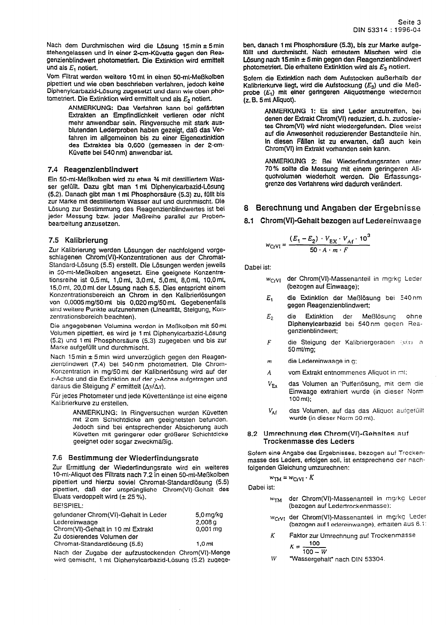Nach dem Durchmischen wird die Lösung 15 min ± 5 min stehengelassen und in einer 2-cm-Küvette gegen den Reagenzienblindwert photometriert. Die Extinktion wird ermittelt und als  $E_1$  notiert.

Vom Filtrat werden weitere 10 ml in einen 50-ml-Meßkolben pipettiert und wie oben beschrieben verfahren, jedoch keine Diphenylcarbazid-Lösung zugesetzt und dann wie oben photometriert. Die Extinktion wird ermittelt und als  $E_2$  notiert.

> ANMERKUNG: Das Verfahren kann bei gefärbten Extrakten an Empfindlichkeit verlieren oder nicht mehr anwendbar sein. Ringversuche mit stark ausblutenden Lederproben haben gezeigt, daß das Verfahren im allgemeinen bis zu einer Eigenextinktion des Extraktes bis 0,600 (gemessen in der 2-cm-Küvette bei 540 nm) anwendbar ist.

#### 7.4 Reagenzienblindwert

Ein 50-mt-Meßkolben wird zu etwa 34 mit destilliertem Wasser gefüllt. Dazu gibt man 1 ml Diphenylcarbazid-Lösung (5.2). Danach gibt man 1 ml Phosphorsäure (5.3) zu, füllt bis zur Marke mit destilliertem Wasser auf und durchmischt. Die Lösung zur Bestimmung des Reagenzienblindwertes ist bei jeder Messung bzw. jeder Meßreihe parallel zur Probenbearbeitung anzusetzen.

#### 7.5 Kalibrierung

Zur Kalibrierung werden Lösungen der nachfolgend vorgeschlagenen Chrom(VI)-Konzentrationen aus der Chromat-Standard-Lösung (5.5) erstellt. Die Lösungen werden jeweils in 50-mt-Meßkolben angesetzt. Eine geeignete Konzentrationsreihe ist 0,5 mt, 1,0 mt, 3,0 mt, 5,0 mt, 8,0 mt, 10,0 mt, 15,0 ml, 20,0 ml der Lösung nach 5.5. Dies entspricht einem Konzentrationsbereich an Chrom in den Kalibrierlösungen von 0,0005 mg/50 mt bis 0,020 mg/50 mt. Gegebenenfalls sind weitere Punkte aufzunehmen (Linearität, Steigung, Konzentrationsbereich beachten).

Die angegebenen Volumina werden in Meßkolben mit 50 ml Volumen pipettiert, es wird je 1 ml Diphenylcarbazid-Lösung (5.2) und 1 ml Phosphorsäure (5.3) zugegeben und bis zur Marke aufgefüllt und durchmischt.

Nach 15 min ± 5 min wird unverzüglich gegen den Reagenzienblindwert (7.4) bei 540nm photometriert. Die Chrom-Konzentration in mg/50 mt der Kalibrierlösung wird auf der x-Achse und die Extinktion auf der y-Achse aufgetragen und daraus die Steigung F ermittelt ( $\Delta y/\Delta x$ ).

Für jedes Photometer und jede Küvettenlänge ist eine eigene Kalibrierkurve zu erstellen.

> ANMERKUNG: In Ringversuchen wurden Küvetten mit 2cm Schichtdicke am geeignetsten befunden. Jedoch sind bei entsprechender Absicherung auch Küvetten mit geringerer oder größerer Schichtdicke geeignet oder sogar zweckmäßig.

#### 7.6 Bestimmung der Wiederfindungsrate

Zur Ermittlung der Wiederfindungsrate wird ein weiteres 10-mi-Aliquot des Filtrats nach 7.2 in einen 50-mi-Meßkolben pipettiert und hierzu soviel Chromat-Standardlösung (5.5) pipettiert, daß der ursprüngliche Chrom(VI)-Gehalt des Eluats verdoppelt wird  $(\pm 25\%)$ .

#### BEISPIEL:

| gefundener Chrom(VI)-Gehalt in Leder<br>Ledereinwaage | $5.0$ mg/kg<br>2.008 <sub>9</sub> |
|-------------------------------------------------------|-----------------------------------|
| Chrom(VI)-Gehalt in 10 ml Extrakt                     | $0.001 \, \text{mq}$              |
| Zu dosierendes Volumen der                            |                                   |
| Chromat-Standardlösung (5.5)                          | 1.0 <sub>m</sub>                  |

Nach der Zugabe der aufzustockenden Chrom(VI)-Menge wird gemischt, 1 ml Diphenylcarbazid-Lösung (5.2) zugegeben, danach 1 ml Phosphorsäure (5.3), bis zur Marke aufgefüllt und durchmischt. Nach erneutem Mischen wird die Lösung nach 15 min ± 5 min gegen den Reagenzienblindwert photometrient. Die erhaltene Extinktion wird als  $E_3$  notiert.

Sofern die Extinktion nach dem Aufstocken außerhalb der Kalibrierkurve liegt, wird die Aufstockung (E<sub>3</sub>) und die Meßprobe  $(E_1)$  mit einer geringeren Aliquotmenge wiedernoit (z. B. 5 mi Aliquot).

> ANMERKUNG 1: Es sind Leder anzutreffen, bei denen der Extrakt Chrom(VI) reduziert, d. h. zudosiertes Chrom(VI) wird nicht wiedergefunden. Dies weist auf die Anwesenheit reduzierender Bestandteile hin. In diesen Fällen ist zu erwarten, daß auch kein Chrom(VI) im Extrakt vorhanden sein kann.

> ANMERKUNG 2: Bei Wiederfindungsraten unter 70% sollte die Messung mit einem geringeren Aliquotvolumen wiederholt werden. Die Erfassungsgrenze des Verfahrens wird dadurch verändert.

### 8 Berechnung und Angaben der Ergebnisse

#### 8.1 Chrom(VI)-Gehalt bezogen auf Ledereinwaage

$$
w_{\text{CfVI}} = \frac{(E_1 - E_2) \cdot V_{\text{EX}} \cdot V_{\text{Af}} \cdot 10^3}{50 \cdot A \cdot m \cdot F}
$$

Dabei ist:

- der Chrom(VI)-Massenanteil in mg/kg Leder  $W_{CrV1}$ (bezogen auf Einwaage);
- die Extinktion der Meßlösung bei 540nm  $E_{1}$ gegen Reagenzienblindwert;
- Extinktion der Meßlösung  $E<sub>2</sub>$ ohne Diphenylcarbazid bei 540nm gegen Reagenzienblindwert;
- $\bar{F}$ die Steigung der Kalibriergeraden (y/x) in 50 ml/mg;
- die Ledereinwaage in g;  $\overline{m}$
- vom Extrakt entnommenes Aliquot in ml: A
- das Volumen an Pufferlösung, mit dem die  $V_{\rm Ex}$ Einwaage extrahiert wurde (in dieser Norm  $100 \, \text{ml}$ );
- $V_\mathsf{Af}$ das Volumen, auf das das Aliquot aufgefüllt wurde (in dieser Norm 50 ml).

#### 8.2 Umrechnung des Chrom(VI)-Gehaltes auf **Trockenmasse des Leders**

Sofern eine Angabe des Ergebnisses, bezogen auf Trockenmasse des Leders, erfolgen soll, ist entsprechend der nachfolgenden Gleichung umzurechnen:

$$
w_{TM} = w_{CrVI} \cdot K
$$

Dabei ist:

- w<sub>TM</sub> der Chrom(VI)-Massenanteil in mg/kg Leder (bezogen auf Ledertrockenmasse);
- wcrvt der Chrom(VI)-Massenanteil in mg/kg Leder (bezogen auf Ledereinwaage), erhalten aus 8.1:
- K Faktor zur Umrechnung auf Trockenmasse 100  $\mathbf{v}$

$$
\Lambda = \frac{100 - W}{}
$$

W "Wassergehalt" nach DIN 53304.